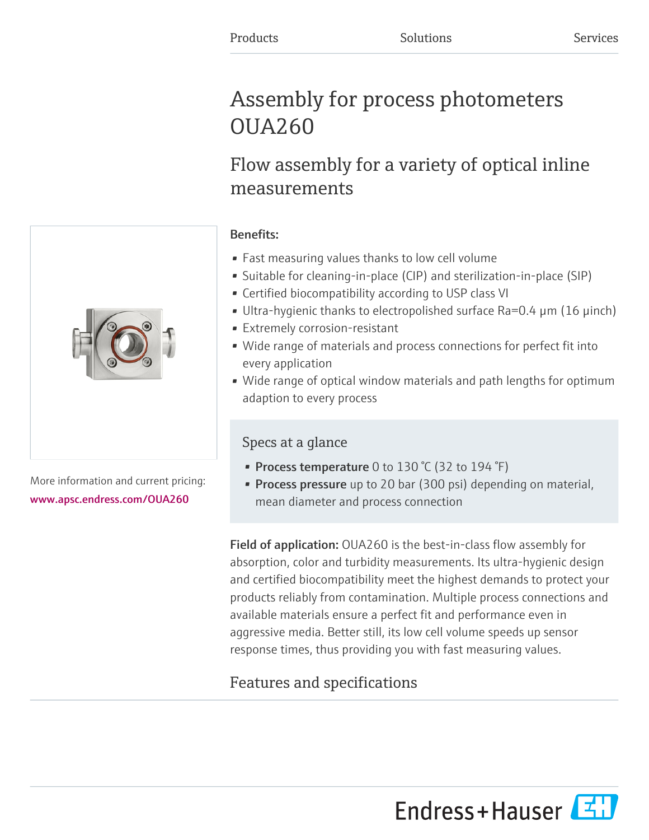# Assembly for process photometers OUA260

# Flow assembly for a variety of optical inline measurements

## Benefits:

- Fast measuring values thanks to low cell volume
- Suitable for cleaning-in-place (CIP) and sterilization-in-place (SIP)
- Certified biocompatibility according to USP class VI
- Ultra-hygienic thanks to electropolished surface Ra=0.4 µm (16 µinch)
- Extremely corrosion-resistant
- Wide range of materials and process connections for perfect fit into every application
- Wide range of optical window materials and path lengths for optimum adaption to every process

# Specs at a glance

- Process temperature 0 to 130 °C (32 to 194 °F)
- **Process pressure** up to 20 bar (300 psi) depending on material, mean diameter and process connection

Field of application: OUA260 is the best-in-class flow assembly for absorption, color and turbidity measurements. Its ultra-hygienic design and certified biocompatibility meet the highest demands to protect your products reliably from contamination. Multiple process connections and available materials ensure a perfect fit and performance even in aggressive media. Better still, its low cell volume speeds up sensor response times, thus providing you with fast measuring values.

# Features and specifications

More information and current pricing: [www.apsc.endress.com/OUA260](https://www.apsc.endress.com/OUA260)